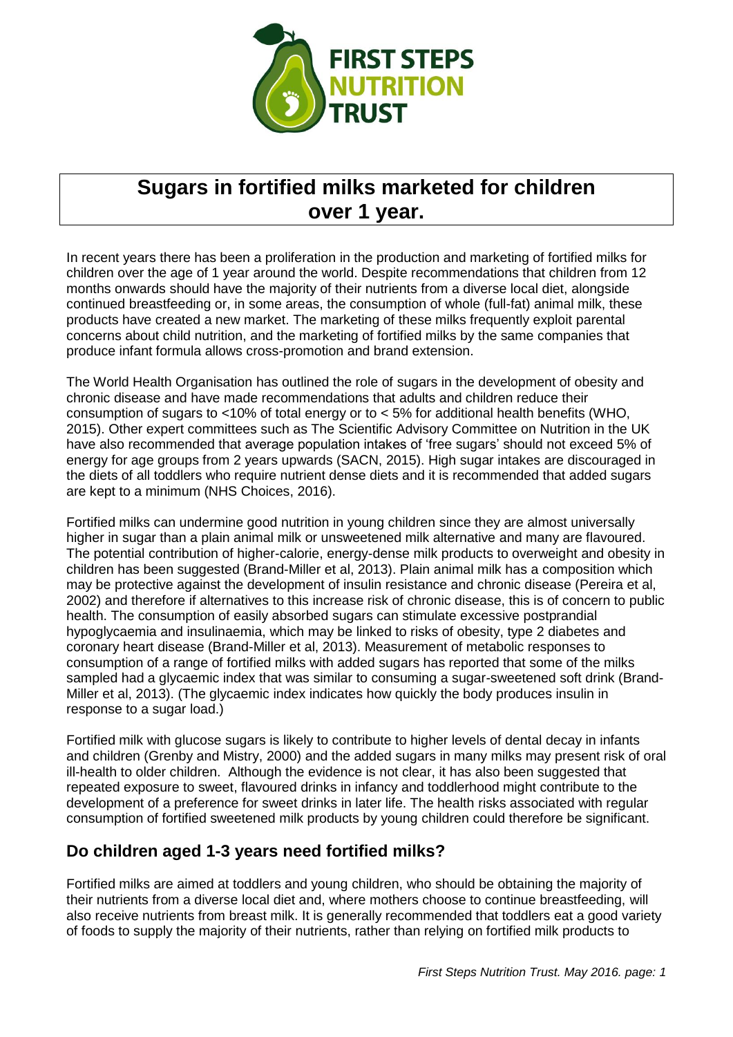

# **Sugars in fortified milks marketed for children over 1 year.**

In recent years there has been a proliferation in the production and marketing of fortified milks for children over the age of 1 year around the world. Despite recommendations that children from 12 months onwards should have the majority of their nutrients from a diverse local diet, alongside continued breastfeeding or, in some areas, the consumption of whole (full-fat) animal milk, these products have created a new market. The marketing of these milks frequently exploit parental concerns about child nutrition, and the marketing of fortified milks by the same companies that produce infant formula allows cross-promotion and brand extension.

The World Health Organisation has outlined the role of sugars in the development of obesity and chronic disease and have made recommendations that adults and children reduce their consumption of sugars to <10% of total energy or to < 5% for additional health benefits (WHO, 2015). Other expert committees such as The Scientific Advisory Committee on Nutrition in the UK have also recommended that average population intakes of 'free sugars' should not exceed 5% of energy for age groups from 2 years upwards (SACN, 2015). High sugar intakes are discouraged in the diets of all toddlers who require nutrient dense diets and it is recommended that added sugars are kept to a minimum (NHS Choices, 2016).

Fortified milks can undermine good nutrition in young children since they are almost universally higher in sugar than a plain animal milk or unsweetened milk alternative and many are flavoured. The potential contribution of higher-calorie, energy-dense milk products to overweight and obesity in children has been suggested (Brand-Miller et al, 2013). Plain animal milk has a composition which may be protective against the development of insulin resistance and chronic disease (Pereira et al, 2002) and therefore if alternatives to this increase risk of chronic disease, this is of concern to public health. The consumption of easily absorbed sugars can stimulate excessive postprandial hypoglycaemia and insulinaemia, which may be linked to risks of obesity, type 2 diabetes and coronary heart disease (Brand-Miller et al, 2013). Measurement of metabolic responses to consumption of a range of fortified milks with added sugars has reported that some of the milks sampled had a glycaemic index that was similar to consuming a sugar-sweetened soft drink (Brand-Miller et al, 2013). (The glycaemic index indicates how quickly the body produces insulin in response to a sugar load.)

Fortified milk with glucose sugars is likely to contribute to higher levels of dental decay in infants and children (Grenby and Mistry, 2000) and the added sugars in many milks may present risk of oral ill-health to older children. Although the evidence is not clear, it has also been suggested that repeated exposure to sweet, flavoured drinks in infancy and toddlerhood might contribute to the development of a preference for sweet drinks in later life. The health risks associated with regular consumption of fortified sweetened milk products by young children could therefore be significant.

# **Do children aged 1-3 years need fortified milks?**

Fortified milks are aimed at toddlers and young children, who should be obtaining the majority of their nutrients from a diverse local diet and, where mothers choose to continue breastfeeding, will also receive nutrients from breast milk. It is generally recommended that toddlers eat a good variety of foods to supply the majority of their nutrients, rather than relying on fortified milk products to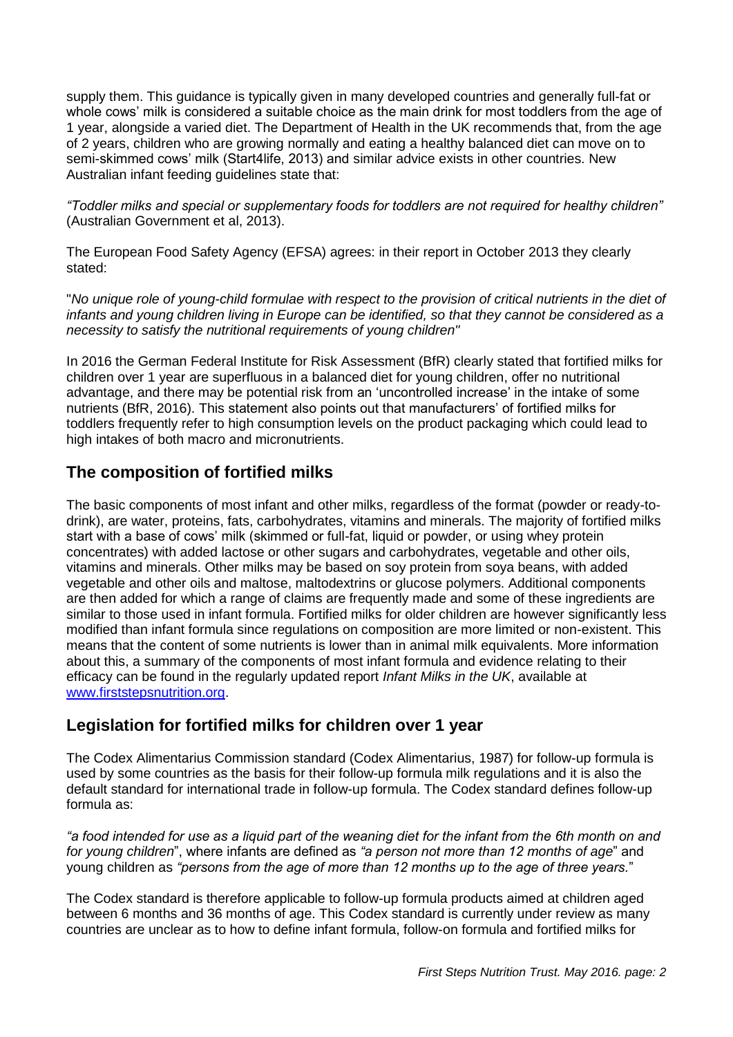supply them. This guidance is typically given in many developed countries and generally full-fat or whole cows' milk is considered a suitable choice as the main drink for most toddlers from the age of 1 year, alongside a varied diet. The Department of Health in the UK recommends that, from the age of 2 years, children who are growing normally and eating a healthy balanced diet can move on to semi-skimmed cows' milk (Start4life, 2013) and similar advice exists in other countries. New Australian infant feeding guidelines state that:

*"Toddler milks and special or supplementary foods for toddlers are not required for healthy children"*  (Australian Government et al, 2013).

The European Food Safety Agency (EFSA) agrees: in their report in October 2013 they clearly stated:

"*No unique role of young-child formulae with respect to the provision of critical nutrients in the diet of infants and young children living in Europe can be identified, so that they cannot be considered as a necessity to satisfy the nutritional requirements of young children"*

In 2016 the German Federal Institute for Risk Assessment (BfR) clearly stated that fortified milks for children over 1 year are superfluous in a balanced diet for young children, offer no nutritional advantage, and there may be potential risk from an 'uncontrolled increase' in the intake of some nutrients (BfR, 2016). This statement also points out that manufacturers' of fortified milks for toddlers frequently refer to high consumption levels on the product packaging which could lead to high intakes of both macro and micronutrients.

# **The composition of fortified milks**

The basic components of most infant and other milks, regardless of the format (powder or ready-todrink), are water, proteins, fats, carbohydrates, vitamins and minerals. The majority of fortified milks start with a base of cows' milk (skimmed or full-fat, liquid or powder, or using whey protein concentrates) with added lactose or other sugars and carbohydrates, vegetable and other oils, vitamins and minerals. Other milks may be based on soy protein from soya beans, with added vegetable and other oils and maltose, maltodextrins or glucose polymers. Additional components are then added for which a range of claims are frequently made and some of these ingredients are similar to those used in infant formula. Fortified milks for older children are however significantly less modified than infant formula since regulations on composition are more limited or non-existent. This means that the content of some nutrients is lower than in animal milk equivalents. More information about this, a summary of the components of most infant formula and evidence relating to their efficacy can be found in the regularly updated report *Infant Milks in the UK*, available at [www.firststepsnutrition.org.](http://www.firststepsnutrition.org/)

# **Legislation for fortified milks for children over 1 year**

The Codex Alimentarius Commission standard (Codex Alimentarius, 1987) for follow-up formula is used by some countries as the basis for their follow-up formula milk regulations and it is also the default standard for international trade in follow-up formula. The Codex standard defines follow-up formula as:

*"a food intended for use as a liquid part of the weaning diet for the infant from the 6th month on and for young children*", where infants are defined as *"a person not more than 12 months of age*" and young children as *"persons from the age of more than 12 months up to the age of three years.*"

The Codex standard is therefore applicable to follow-up formula products aimed at children aged between 6 months and 36 months of age. This Codex standard is currently under review as many countries are unclear as to how to define infant formula, follow-on formula and fortified milks for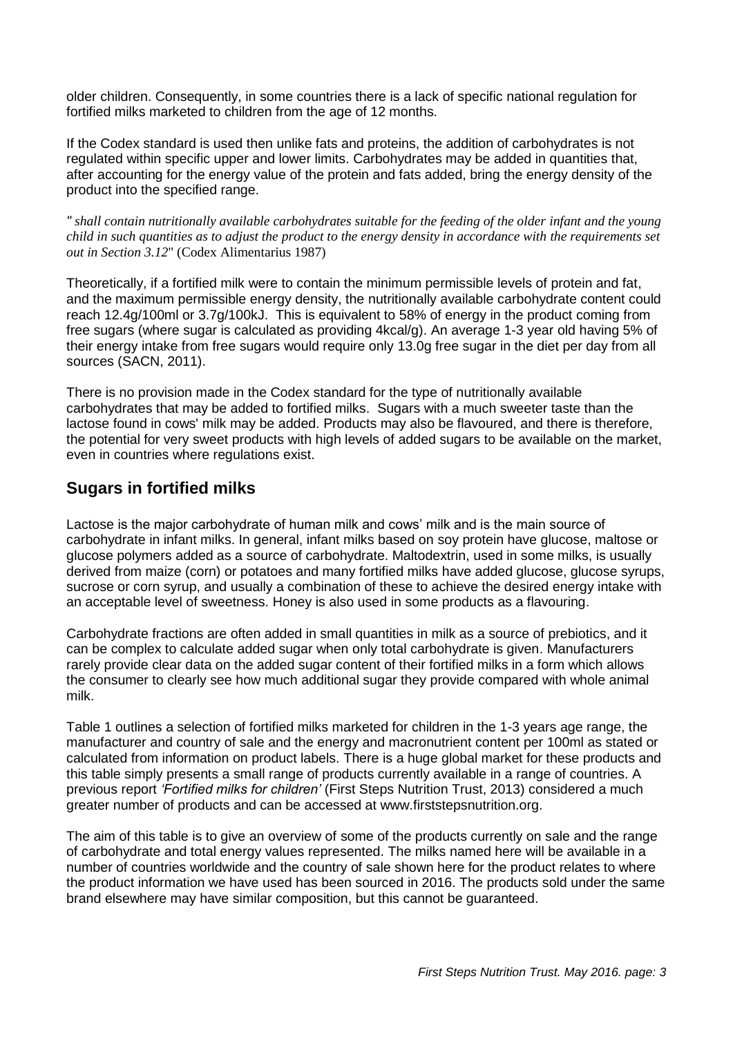older children. Consequently, in some countries there is a lack of specific national regulation for fortified milks marketed to children from the age of 12 months.

If the Codex standard is used then unlike fats and proteins, the addition of carbohydrates is not regulated within specific upper and lower limits. Carbohydrates may be added in quantities that, after accounting for the energy value of the protein and fats added, bring the energy density of the product into the specified range.

*" shall contain nutritionally available carbohydrates suitable for the feeding of the older infant and the young child in such quantities as to adjust the product to the energy density in accordance with the requirements set out in Section 3.12*" (Codex Alimentarius 1987)

Theoretically, if a fortified milk were to contain the minimum permissible levels of protein and fat, and the maximum permissible energy density, the nutritionally available carbohydrate content could reach 12.4g/100ml or 3.7g/100kJ. This is equivalent to 58% of energy in the product coming from free sugars (where sugar is calculated as providing 4kcal/g). An average 1-3 year old having 5% of their energy intake from free sugars would require only 13.0g free sugar in the diet per day from all sources (SACN, 2011).

There is no provision made in the Codex standard for the type of nutritionally available carbohydrates that may be added to fortified milks. Sugars with a much sweeter taste than the lactose found in cows' milk may be added. Products may also be flavoured, and there is therefore, the potential for very sweet products with high levels of added sugars to be available on the market, even in countries where regulations exist.

## **Sugars in fortified milks**

Lactose is the major carbohydrate of human milk and cows' milk and is the main source of carbohydrate in infant milks. In general, infant milks based on soy protein have glucose, maltose or glucose polymers added as a source of carbohydrate. Maltodextrin, used in some milks, is usually derived from maize (corn) or potatoes and many fortified milks have added glucose, glucose syrups, sucrose or corn syrup, and usually a combination of these to achieve the desired energy intake with an acceptable level of sweetness. Honey is also used in some products as a flavouring.

Carbohydrate fractions are often added in small quantities in milk as a source of prebiotics, and it can be complex to calculate added sugar when only total carbohydrate is given. Manufacturers rarely provide clear data on the added sugar content of their fortified milks in a form which allows the consumer to clearly see how much additional sugar they provide compared with whole animal milk.

Table 1 outlines a selection of fortified milks marketed for children in the 1-3 years age range, the manufacturer and country of sale and the energy and macronutrient content per 100ml as stated or calculated from information on product labels. There is a huge global market for these products and this table simply presents a small range of products currently available in a range of countries. A previous report *'Fortified milks for children'* (First Steps Nutrition Trust, 2013) considered a much greater number of products and can be accessed at www.firststepsnutrition.org.

The aim of this table is to give an overview of some of the products currently on sale and the range of carbohydrate and total energy values represented. The milks named here will be available in a number of countries worldwide and the country of sale shown here for the product relates to where the product information we have used has been sourced in 2016. The products sold under the same brand elsewhere may have similar composition, but this cannot be guaranteed.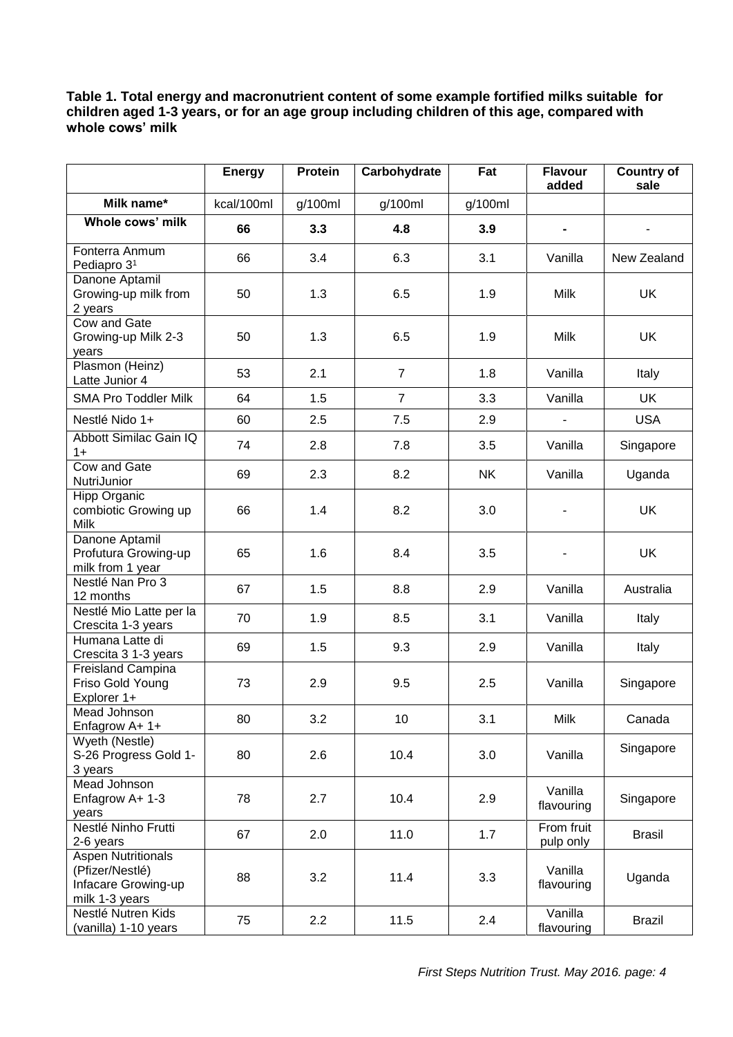#### **Table 1. Total energy and macronutrient content of some example fortified milks suitable for children aged 1-3 years, or for an age group including children of this age, compared with whole cows' milk**

|                                                                                       | <b>Energy</b> | <b>Protein</b> | Carbohydrate   | Fat       | <b>Flavour</b><br>added | <b>Country of</b><br>sale |
|---------------------------------------------------------------------------------------|---------------|----------------|----------------|-----------|-------------------------|---------------------------|
| Milk name*                                                                            | kcal/100ml    | g/100ml        | g/100ml        | g/100ml   |                         |                           |
| Whole cows' milk                                                                      | 66            | 3.3            | 4.8            | 3.9       | $\blacksquare$          | $\blacksquare$            |
| Fonterra Anmum<br>Pediapro 3 <sup>1</sup>                                             | 66            | 3.4            | 6.3            | 3.1       | Vanilla                 | New Zealand               |
| Danone Aptamil<br>Growing-up milk from<br>2 years                                     | 50            | 1.3            | 6.5            | 1.9       | Milk                    | UK                        |
| Cow and Gate<br>Growing-up Milk 2-3<br>years                                          | 50            | 1.3            | 6.5            | 1.9       | Milk                    | UK                        |
| Plasmon (Heinz)<br>Latte Junior 4                                                     | 53            | 2.1            | $\overline{7}$ | 1.8       | Vanilla                 | Italy                     |
| <b>SMA Pro Toddler Milk</b>                                                           | 64            | 1.5            | $\overline{7}$ | 3.3       | Vanilla                 | UK                        |
| Nestlé Nido 1+                                                                        | 60            | 2.5            | 7.5            | 2.9       | $\overline{a}$          | <b>USA</b>                |
| Abbott Similac Gain IQ<br>$1+$                                                        | 74            | 2.8            | 7.8            | 3.5       | Vanilla                 | Singapore                 |
| <b>Cow and Gate</b><br>NutriJunior                                                    | 69            | 2.3            | 8.2            | <b>NK</b> | Vanilla                 | Uganda                    |
| <b>Hipp Organic</b><br>combiotic Growing up<br>Milk                                   | 66            | 1.4            | 8.2            | 3.0       |                         | UK                        |
| Danone Aptamil<br>Profutura Growing-up<br>milk from 1 year                            | 65            | 1.6            | 8.4            | 3.5       |                         | <b>UK</b>                 |
| Nestlé Nan Pro 3<br>12 months                                                         | 67            | 1.5            | 8.8            | 2.9       | Vanilla                 | Australia                 |
| Nestlé Mio Latte per la<br>Crescita 1-3 years                                         | 70            | 1.9            | 8.5            | 3.1       | Vanilla                 | Italy                     |
| Humana Latte di<br>Crescita 3 1-3 years                                               | 69            | 1.5            | 9.3            | 2.9       | Vanilla                 | Italy                     |
| Freisland Campina<br>Friso Gold Young<br>Explorer 1+                                  | 73            | 2.9            | 9.5            | 2.5       | Vanilla                 | Singapore                 |
| Mead Johnson<br>Enfagrow A+ 1+                                                        | 80            | 3.2            | 10             | 3.1       | Milk                    | Canada                    |
| Wyeth (Nestle)<br>S-26 Progress Gold 1-<br>3 years                                    | 80            | 2.6            | 10.4           | 3.0       | Vanilla                 | Singapore                 |
| Mead Johnson<br>Enfagrow A+ 1-3<br>years                                              | 78            | 2.7            | 10.4           | 2.9       | Vanilla<br>flavouring   | Singapore                 |
| Nestlé Ninho Frutti<br>2-6 years                                                      | 67            | 2.0            | 11.0           | 1.7       | From fruit<br>pulp only | <b>Brasil</b>             |
| <b>Aspen Nutritionals</b><br>(Pfizer/Nestlé)<br>Infacare Growing-up<br>milk 1-3 years | 88            | 3.2            | 11.4           | 3.3       | Vanilla<br>flavouring   | Uganda                    |
| Nestlé Nutren Kids<br>(vanilla) 1-10 years                                            | 75            | 2.2            | 11.5           | 2.4       | Vanilla<br>flavouring   | Brazil                    |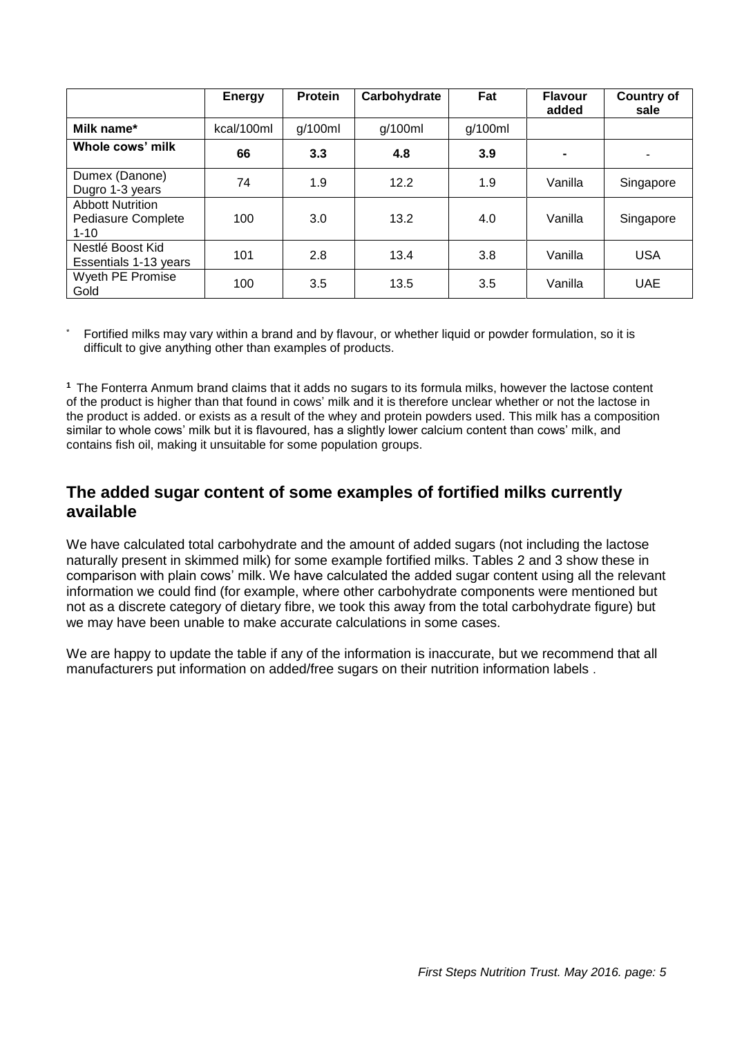|                                                           | <b>Energy</b> | <b>Protein</b> | Carbohydrate | Fat     | <b>Flavour</b><br>added | <b>Country of</b><br>sale |
|-----------------------------------------------------------|---------------|----------------|--------------|---------|-------------------------|---------------------------|
| Milk name*                                                | kcal/100ml    | g/100ml        | g/100ml      | g/100ml |                         |                           |
| Whole cows' milk                                          | 66            | 3.3            | 4.8          | 3.9     | $\blacksquare$          | ۰                         |
| Dumex (Danone)<br>Dugro 1-3 years                         | 74            | 1.9            | 12.2         | 1.9     | Vanilla                 | Singapore                 |
| <b>Abbott Nutrition</b><br>Pediasure Complete<br>$1 - 10$ | 100           | 3.0            | 13.2         | 4.0     | Vanilla                 | Singapore                 |
| Nestlé Boost Kid<br>Essentials 1-13 years                 | 101           | 2.8            | 13.4         | 3.8     | Vanilla                 | <b>USA</b>                |
| Wyeth PE Promise<br>Gold                                  | 100           | 3.5            | 13.5         | 3.5     | Vanilla                 | <b>UAE</b>                |

Fortified milks may vary within a brand and by flavour, or whether liquid or powder formulation, so it is difficult to give anything other than examples of products.

**<sup>1</sup>**The Fonterra Anmum brand claims that it adds no sugars to its formula milks, however the lactose content of the product is higher than that found in cows' milk and it is therefore unclear whether or not the lactose in the product is added. or exists as a result of the whey and protein powders used. This milk has a composition similar to whole cows' milk but it is flavoured, has a slightly lower calcium content than cows' milk, and contains fish oil, making it unsuitable for some population groups.

### **The added sugar content of some examples of fortified milks currently available**

We have calculated total carbohydrate and the amount of added sugars (not including the lactose naturally present in skimmed milk) for some example fortified milks. Tables 2 and 3 show these in comparison with plain cows' milk. We have calculated the added sugar content using all the relevant information we could find (for example, where other carbohydrate components were mentioned but not as a discrete category of dietary fibre, we took this away from the total carbohydrate figure) but we may have been unable to make accurate calculations in some cases.

We are happy to update the table if any of the information is inaccurate, but we recommend that all manufacturers put information on added/free sugars on their nutrition information labels .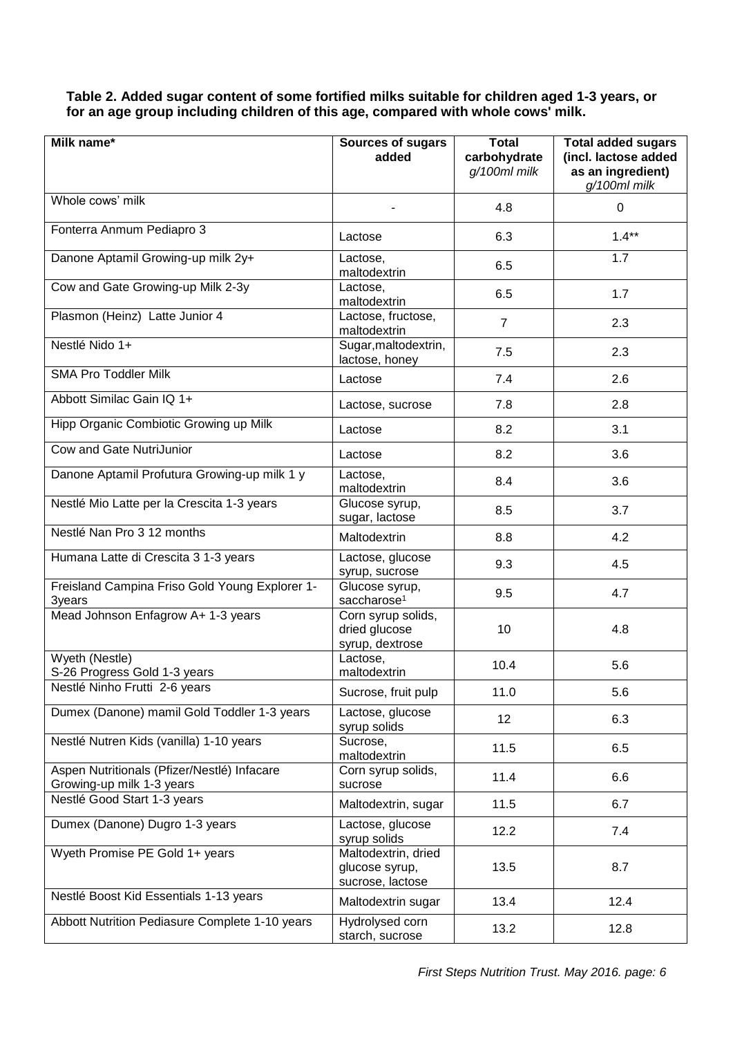**Table 2. Added sugar content of some fortified milks suitable for children aged 1-3 years, or for an age group including children of this age, compared with whole cows' milk.**

| Milk name*                                                               | Sources of sugars                                         | <b>Total</b>                 | <b>Total added sugars</b>                                 |
|--------------------------------------------------------------------------|-----------------------------------------------------------|------------------------------|-----------------------------------------------------------|
|                                                                          | added                                                     | carbohydrate<br>g/100ml milk | (incl. lactose added<br>as an ingredient)<br>g/100ml milk |
| Whole cows' milk                                                         |                                                           | 4.8                          | 0                                                         |
| Fonterra Anmum Pediapro 3                                                | Lactose                                                   | 6.3                          | $1.4**$                                                   |
| Danone Aptamil Growing-up milk 2y+                                       | Lactose,<br>maltodextrin                                  | 6.5                          | 1.7                                                       |
| Cow and Gate Growing-up Milk 2-3y                                        | Lactose,<br>maltodextrin                                  | 6.5                          | 1.7                                                       |
| Plasmon (Heinz) Latte Junior 4                                           | Lactose, fructose,<br>maltodextrin                        | $\overline{7}$               | 2.3                                                       |
| Nestlé Nido 1+                                                           | Sugar, maltodextrin,<br>lactose, honey                    | 7.5                          | 2.3                                                       |
| <b>SMA Pro Toddler Milk</b>                                              | Lactose                                                   | 7.4                          | 2.6                                                       |
| Abbott Similac Gain IQ 1+                                                | Lactose, sucrose                                          | 7.8                          | 2.8                                                       |
| Hipp Organic Combiotic Growing up Milk                                   | Lactose                                                   | 8.2                          | 3.1                                                       |
| Cow and Gate NutriJunior                                                 | Lactose                                                   | 8.2                          | 3.6                                                       |
| Danone Aptamil Profutura Growing-up milk 1 y                             | Lactose,<br>maltodextrin                                  | 8.4                          | 3.6                                                       |
| Nestlé Mio Latte per la Crescita 1-3 years                               | Glucose syrup,<br>sugar, lactose                          | 8.5                          | 3.7                                                       |
| Nestlé Nan Pro 3 12 months                                               | Maltodextrin                                              | 8.8                          | 4.2                                                       |
| Humana Latte di Crescita 3 1-3 years                                     | Lactose, glucose<br>syrup, sucrose                        | 9.3                          | 4.5                                                       |
| Freisland Campina Friso Gold Young Explorer 1-<br>3years                 | Glucose syrup,<br>saccharose <sup>1</sup>                 | 9.5                          | 4.7                                                       |
| Mead Johnson Enfagrow A+ 1-3 years                                       | Corn syrup solids,<br>dried glucose<br>syrup, dextrose    | 10                           | 4.8                                                       |
| Wyeth (Nestle)<br>S-26 Progress Gold 1-3 years                           | Lactose,<br>maltodextrin                                  | 10.4                         | 5.6                                                       |
| Nestlé Ninho Frutti 2-6 years                                            | Sucrose, fruit pulp                                       | 11.0                         | 5.6                                                       |
| Dumex (Danone) mamil Gold Toddler 1-3 years                              | Lactose, glucose<br>syrup solids                          | 12                           | 6.3                                                       |
| Nestlé Nutren Kids (vanilla) 1-10 years                                  | Sucrose,<br>maltodextrin                                  | 11.5                         | 6.5                                                       |
| Aspen Nutritionals (Pfizer/Nestlé) Infacare<br>Growing-up milk 1-3 years | Corn syrup solids,<br>sucrose                             | 11.4                         | 6.6                                                       |
| Nestlé Good Start 1-3 years                                              | Maltodextrin, sugar                                       | 11.5                         | 6.7                                                       |
| Dumex (Danone) Dugro 1-3 years                                           | Lactose, glucose<br>syrup solids                          | 12.2                         | 7.4                                                       |
| Wyeth Promise PE Gold 1+ years                                           | Maltodextrin, dried<br>glucose syrup,<br>sucrose, lactose | 13.5                         | 8.7                                                       |
| Nestlé Boost Kid Essentials 1-13 years                                   | Maltodextrin sugar                                        | 13.4                         | 12.4                                                      |
| Abbott Nutrition Pediasure Complete 1-10 years                           | Hydrolysed corn<br>starch, sucrose                        | 13.2                         | 12.8                                                      |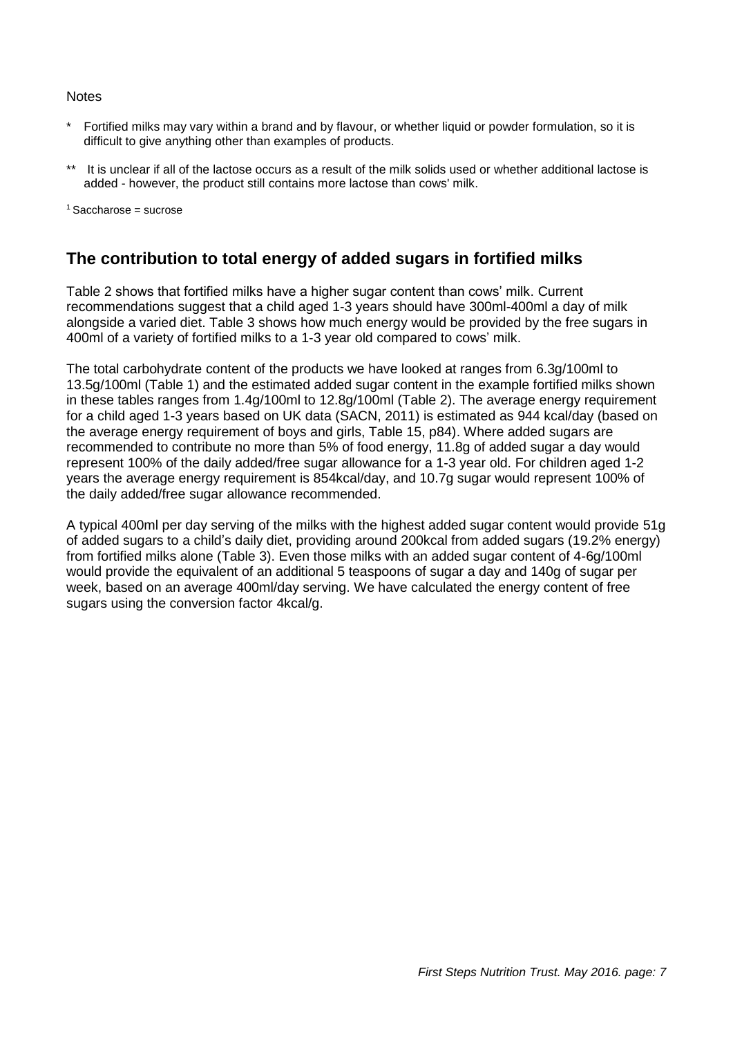#### **Notes**

- Fortified milks may vary within a brand and by flavour, or whether liquid or powder formulation, so it is difficult to give anything other than examples of products.
- It is unclear if all of the lactose occurs as a result of the milk solids used or whether additional lactose is added - however, the product still contains more lactose than cows' milk.

 $1$ Saccharose = sucrose

## **The contribution to total energy of added sugars in fortified milks**

Table 2 shows that fortified milks have a higher sugar content than cows' milk. Current recommendations suggest that a child aged 1-3 years should have 300ml-400ml a day of milk alongside a varied diet. Table 3 shows how much energy would be provided by the free sugars in 400ml of a variety of fortified milks to a 1-3 year old compared to cows' milk.

The total carbohydrate content of the products we have looked at ranges from 6.3g/100ml to 13.5g/100ml (Table 1) and the estimated added sugar content in the example fortified milks shown in these tables ranges from 1.4g/100ml to 12.8g/100ml (Table 2). The average energy requirement for a child aged 1-3 years based on UK data (SACN, 2011) is estimated as 944 kcal/day (based on the average energy requirement of boys and girls, Table 15, p84). Where added sugars are recommended to contribute no more than 5% of food energy, 11.8g of added sugar a day would represent 100% of the daily added/free sugar allowance for a 1-3 year old. For children aged 1-2 years the average energy requirement is 854kcal/day, and 10.7g sugar would represent 100% of the daily added/free sugar allowance recommended.

A typical 400ml per day serving of the milks with the highest added sugar content would provide 51g of added sugars to a child's daily diet, providing around 200kcal from added sugars (19.2% energy) from fortified milks alone (Table 3). Even those milks with an added sugar content of 4-6g/100ml would provide the equivalent of an additional 5 teaspoons of sugar a day and 140g of sugar per week, based on an average 400ml/day serving. We have calculated the energy content of free sugars using the conversion factor 4kcal/g.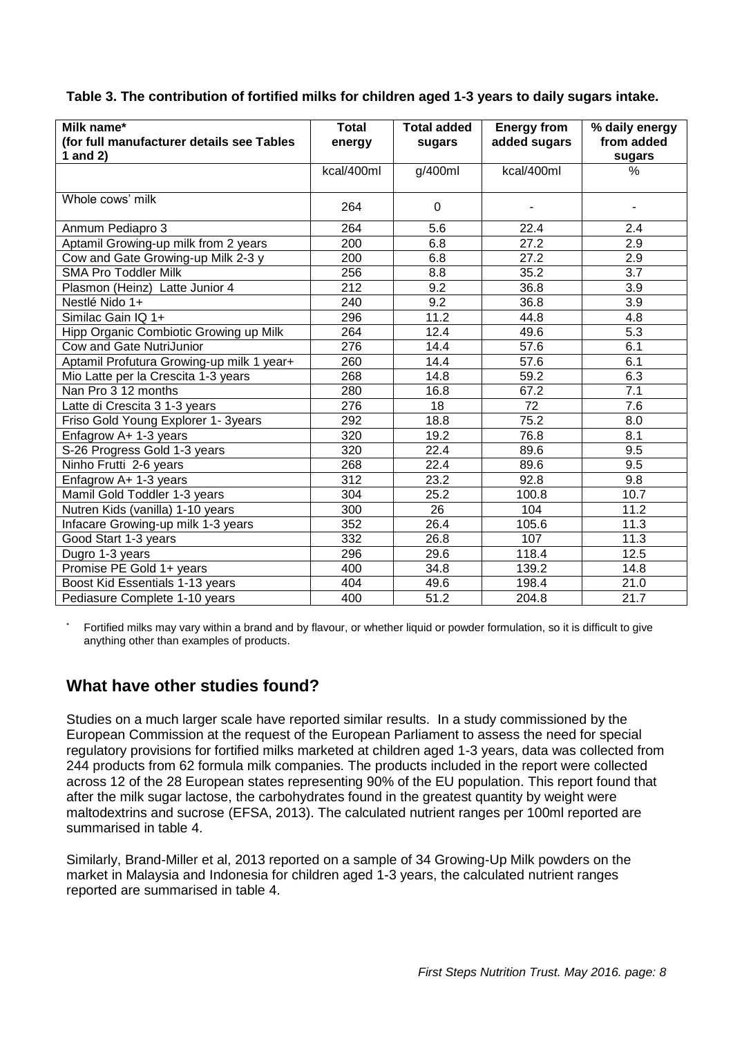#### **Table 3. The contribution of fortified milks for children aged 1-3 years to daily sugars intake.**

| Milk name*                                | <b>Total</b> | <b>Total added</b> | <b>Energy from</b> | % daily energy   |
|-------------------------------------------|--------------|--------------------|--------------------|------------------|
| (for full manufacturer details see Tables | energy       | sugars             | added sugars       | from added       |
| 1 and $2$ )                               |              |                    |                    | sugars           |
|                                           | kcal/400ml   | g/400ml            | kcal/400ml         | %                |
|                                           |              |                    |                    |                  |
| Whole cows' milk                          | 264          | 0                  |                    |                  |
| Anmum Pediapro 3                          | 264          | 5.6                | 22.4               | 2.4              |
| Aptamil Growing-up milk from 2 years      | 200          | 6.8                | 27.2               | 2.9              |
| Cow and Gate Growing-up Milk 2-3 y        | 200          | 6.8                | 27.2               | 2.9              |
| <b>SMA Pro Toddler Milk</b>               | 256          | 8.8                | 35.2               | 3.7              |
| Plasmon (Heinz) Latte Junior 4            | 212          | 9.2                | 36.8               | 3.9              |
| Nestlé Nido 1+                            | 240          | 9.2                | 36.8               | 3.9              |
| Similac Gain IQ 1+                        | 296          | 11.2               | 44.8               | 4.8              |
| Hipp Organic Combiotic Growing up Milk    | 264          | 12.4               | 49.6               | 5.3              |
| Cow and Gate NutriJunior                  | 276          | 14.4               | 57.6               | 6.1              |
| Aptamil Profutura Growing-up milk 1 year+ | 260          | 14.4               | 57.6               | 6.1              |
| Mio Latte per la Crescita 1-3 years       | 268          | 14.8               | 59.2               | 6.3              |
| Nan Pro 3 12 months                       | 280          | 16.8               | 67.2               | 7.1              |
| Latte di Crescita 3 1-3 years             | 276          | $\overline{18}$    | $\overline{72}$    | $\overline{7.6}$ |
| Friso Gold Young Explorer 1- 3years       | 292          | 18.8               | 75.2               | 8.0              |
| Enfagrow A+ 1-3 years                     | 320          | 19.2               | 76.8               | 8.1              |
| S-26 Progress Gold 1-3 years              | 320          | 22.4               | 89.6               | 9.5              |
| Ninho Frutti 2-6 years                    | 268          | 22.4               | 89.6               | 9.5              |
| Enfagrow A+ 1-3 years                     | 312          | 23.2               | 92.8               | 9.8              |
| Mamil Gold Toddler 1-3 years              | 304          | 25.2               | 100.8              | 10.7             |
| Nutren Kids (vanilla) 1-10 years          | 300          | 26                 | 104                | 11.2             |
| Infacare Growing-up milk 1-3 years        | 352          | 26.4               | 105.6              | 11.3             |
| Good Start 1-3 years                      | 332          | 26.8               | 107                | 11.3             |
| Dugro 1-3 years                           | 296          | 29.6               | 118.4              | 12.5             |
| Promise PE Gold 1+ years                  | 400          | 34.8               | 139.2              | 14.8             |
| Boost Kid Essentials 1-13 years           | 404          | 49.6               | 198.4              | 21.0             |
| Pediasure Complete 1-10 years             | 400          | 51.2               | 204.8              | 21.7             |

Fortified milks may vary within a brand and by flavour, or whether liquid or powder formulation, so it is difficult to give anything other than examples of products.

# **What have other studies found?**

Studies on a much larger scale have reported similar results. In a study commissioned by the European Commission at the request of the European Parliament to assess the need for special regulatory provisions for fortified milks marketed at children aged 1-3 years, data was collected from 244 products from 62 formula milk companies. The products included in the report were collected across 12 of the 28 European states representing 90% of the EU population. This report found that after the milk sugar lactose, the carbohydrates found in the greatest quantity by weight were maltodextrins and sucrose (EFSA, 2013). The calculated nutrient ranges per 100ml reported are summarised in table 4.

Similarly, Brand-Miller et al, 2013 reported on a sample of 34 Growing-Up Milk powders on the market in Malaysia and Indonesia for children aged 1-3 years, the calculated nutrient ranges reported are summarised in table 4.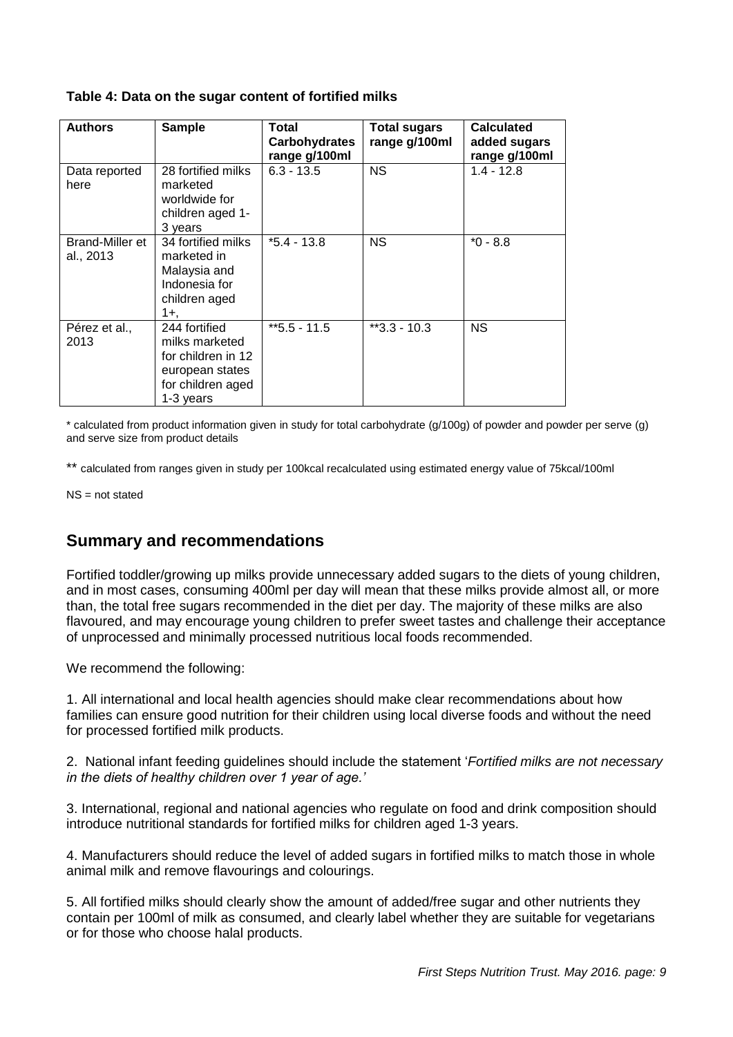#### **Table 4: Data on the sugar content of fortified milks**

| <b>Authors</b>               | <b>Sample</b>                                                                                              | Total<br><b>Carbohydrates</b><br>range g/100ml | <b>Total sugars</b><br>range g/100ml | <b>Calculated</b><br>added sugars<br>range g/100ml |
|------------------------------|------------------------------------------------------------------------------------------------------------|------------------------------------------------|--------------------------------------|----------------------------------------------------|
| Data reported<br>here        | 28 fortified milks<br>marketed<br>worldwide for<br>children aged 1-<br>3 years                             | $6.3 - 13.5$                                   | <b>NS</b>                            | $1.4 - 12.8$                                       |
| Brand-Miller et<br>al., 2013 | 34 fortified milks<br>marketed in<br>Malaysia and<br>Indonesia for<br>children aged<br>1+.                 | $*5.4 - 13.8$                                  | <b>NS</b>                            | $*0 - 8.8$                                         |
| Pérez et al.,<br>2013        | 244 fortified<br>milks marketed<br>for children in 12<br>european states<br>for children aged<br>1-3 years | $*5.5 - 11.5$                                  | $*3.3 - 10.3$                        | NS.                                                |

\* calculated from product information given in study for total carbohydrate (g/100g) of powder and powder per serve (g) and serve size from product details

\*\* calculated from ranges given in study per 100kcal recalculated using estimated energy value of 75kcal/100ml

NS = not stated

### **Summary and recommendations**

Fortified toddler/growing up milks provide unnecessary added sugars to the diets of young children, and in most cases, consuming 400ml per day will mean that these milks provide almost all, or more than, the total free sugars recommended in the diet per day. The majority of these milks are also flavoured, and may encourage young children to prefer sweet tastes and challenge their acceptance of unprocessed and minimally processed nutritious local foods recommended.

We recommend the following:

1. All international and local health agencies should make clear recommendations about how families can ensure good nutrition for their children using local diverse foods and without the need for processed fortified milk products.

2. National infant feeding guidelines should include the statement '*Fortified milks are not necessary in the diets of healthy children over 1 year of age.'* 

3. International, regional and national agencies who regulate on food and drink composition should introduce nutritional standards for fortified milks for children aged 1-3 years.

4. Manufacturers should reduce the level of added sugars in fortified milks to match those in whole animal milk and remove flavourings and colourings.

5. All fortified milks should clearly show the amount of added/free sugar and other nutrients they contain per 100ml of milk as consumed, and clearly label whether they are suitable for vegetarians or for those who choose halal products.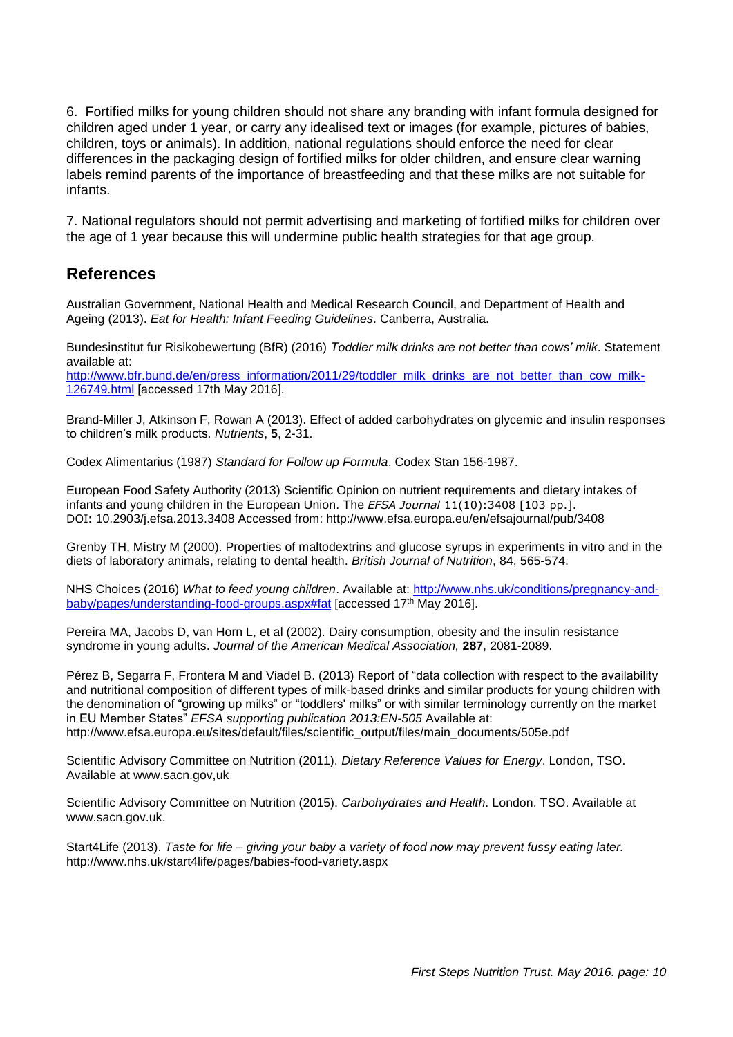6. Fortified milks for young children should not share any branding with infant formula designed for children aged under 1 year, or carry any idealised text or images (for example, pictures of babies, children, toys or animals). In addition, national regulations should enforce the need for clear differences in the packaging design of fortified milks for older children, and ensure clear warning labels remind parents of the importance of breastfeeding and that these milks are not suitable for infants.

7. National regulators should not permit advertising and marketing of fortified milks for children over the age of 1 year because this will undermine public health strategies for that age group.

## **References**

Australian Government, National Health and Medical Research Council, and Department of Health and Ageing (2013). *Eat for Health: Infant Feeding Guidelines*. Canberra, Australia.

Bundesinstitut fur Risikobewertung (BfR) (2016) *Toddler milk drinks are not better than cows' milk*. Statement available at:

[http://www.bfr.bund.de/en/press\\_information/2011/29/toddler\\_milk\\_drinks\\_are\\_not\\_better\\_than\\_cow\\_milk-](http://www.bfr.bund.de/en/press_information/2011/29/toddler_milk_drinks_are_not_better_than_cow_milk-126749.html)[126749.html](http://www.bfr.bund.de/en/press_information/2011/29/toddler_milk_drinks_are_not_better_than_cow_milk-126749.html) [accessed 17th May 2016].

Brand-Miller J, Atkinson F, Rowan A (2013). Effect of added carbohydrates on glycemic and insulin responses to children's milk products*. Nutrients*, **5**, 2-31.

Codex Alimentarius (1987) *Standard for Follow up Formula*. Codex Stan 156-1987.

European Food Safety Authority (2013) Scientific Opinion on nutrient requirements and dietary intakes of infants and young children in the European Union. The *EFSA Journal* 11(10):3408 [103 pp.]. DOI**:** 10.2903/j.efsa.2013.3408 Accessed from: http://www.efsa.europa.eu/en/efsajournal/pub/3408

Grenby TH, Mistry M (2000). Properties of maltodextrins and glucose syrups in experiments in vitro and in the diets of laboratory animals, relating to dental health. *British Journal of Nutrition*, 84, 565-574.

NHS Choices (2016) *What to feed young children*. Available at: [http://www.nhs.uk/conditions/pregnancy-and](http://www.nhs.uk/conditions/pregnancy-and-baby/pages/understanding-food-groups.aspx#fat)[baby/pages/understanding-food-groups.aspx#fat](http://www.nhs.uk/conditions/pregnancy-and-baby/pages/understanding-food-groups.aspx#fat) [accessed 17th May 2016].

Pereira MA, Jacobs D, van Horn L, et al (2002). Dairy consumption, obesity and the insulin resistance syndrome in young adults. *Journal of the American Medical Association,* **287**, 2081-2089.

Pérez B, Segarra F, Frontera M and Viadel B. (2013) Report of "data collection with respect to the availability and nutritional composition of different types of milk-based drinks and similar products for young children with the denomination of "growing up milks" or "toddlers' milks" or with similar terminology currently on the market in EU Member States" *EFSA supporting publication 2013:EN-505* Available at: http://www.efsa.europa.eu/sites/default/files/scientific\_output/files/main\_documents/505e.pdf

Scientific Advisory Committee on Nutrition (2011). *Dietary Reference Values for Energy*. London, TSO. Available at www.sacn.gov,uk

Scientific Advisory Committee on Nutrition (2015). *Carbohydrates and Health*. London. TSO. Available at www.sacn.gov.uk.

Start4Life (2013). *Taste for life – giving your baby a variety of food now may prevent fussy eating later.*  http://www.nhs.uk/start4life/pages/babies-food-variety.aspx